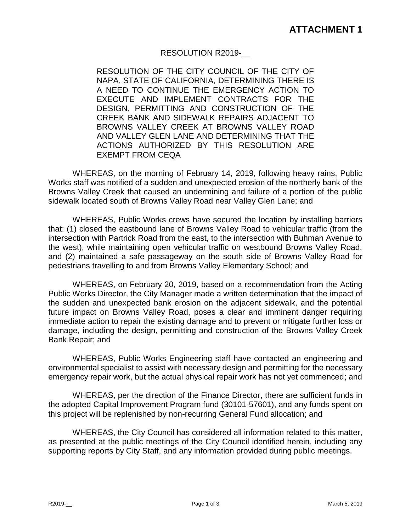## RESOLUTION R2019-\_\_

RESOLUTION OF THE CITY COUNCIL OF THE CITY OF NAPA, STATE OF CALIFORNIA, DETERMINING THERE IS A NEED TO CONTINUE THE EMERGENCY ACTION TO EXECUTE AND IMPLEMENT CONTRACTS FOR THE DESIGN, PERMITTING AND CONSTRUCTION OF THE CREEK BANK AND SIDEWALK REPAIRS ADJACENT TO BROWNS VALLEY CREEK AT BROWNS VALLEY ROAD AND VALLEY GLEN LANE AND DETERMINING THAT THE ACTIONS AUTHORIZED BY THIS RESOLUTION ARE EXEMPT FROM CEQA

WHEREAS, on the morning of February 14, 2019, following heavy rains, Public Works staff was notified of a sudden and unexpected erosion of the northerly bank of the Browns Valley Creek that caused an undermining and failure of a portion of the public sidewalk located south of Browns Valley Road near Valley Glen Lane; and

WHEREAS, Public Works crews have secured the location by installing barriers that: (1) closed the eastbound lane of Browns Valley Road to vehicular traffic (from the intersection with Partrick Road from the east, to the intersection with Buhman Avenue to the west), while maintaining open vehicular traffic on westbound Browns Valley Road, and (2) maintained a safe passageway on the south side of Browns Valley Road for pedestrians travelling to and from Browns Valley Elementary School; and

WHEREAS, on February 20, 2019, based on a recommendation from the Acting Public Works Director, the City Manager made a written determination that the impact of the sudden and unexpected bank erosion on the adjacent sidewalk, and the potential future impact on Browns Valley Road, poses a clear and imminent danger requiring immediate action to repair the existing damage and to prevent or mitigate further loss or damage, including the design, permitting and construction of the Browns Valley Creek Bank Repair; and

WHEREAS, Public Works Engineering staff have contacted an engineering and environmental specialist to assist with necessary design and permitting for the necessary emergency repair work, but the actual physical repair work has not yet commenced; and

WHEREAS, per the direction of the Finance Director, there are sufficient funds in the adopted Capital Improvement Program fund (30101-57601), and any funds spent on this project will be replenished by non-recurring General Fund allocation; and

WHEREAS, the City Council has considered all information related to this matter, as presented at the public meetings of the City Council identified herein, including any supporting reports by City Staff, and any information provided during public meetings.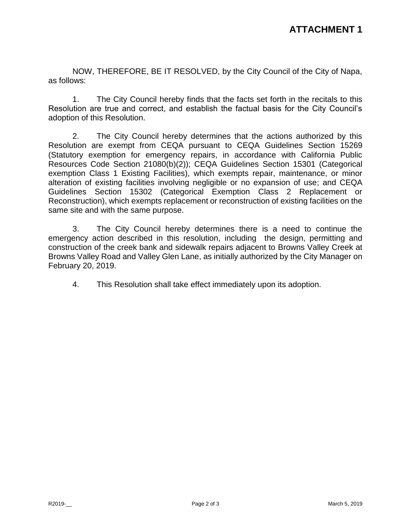NOW, THEREFORE, BE IT RESOLVED, by the City Council of the City of Napa, as follows:

1. The City Council hereby finds that the facts set forth in the recitals to this Resolution are true and correct, and establish the factual basis for the City Council's adoption of this Resolution.

2. The City Council hereby determines that the actions authorized by this Resolution are exempt from CEQA pursuant to CEQA Guidelines Section 15269 (Statutory exemption for emergency repairs, in accordance with California Public Resources Code Section 21080(b)(2)); CEQA Guidelines Section 15301 (Categorical exemption Class 1 Existing Facilities), which exempts repair, maintenance, or minor alteration of existing facilities involving negligible or no expansion of use; and CEQA Guidelines Section 15302 (Categorical Exemption Class 2 Replacement or Reconstruction), which exempts replacement or reconstruction of existing facilities on the same site and with the same purpose.

3. The City Council hereby determines there is a need to continue the emergency action described in this resolution, including the design, permitting and construction of the creek bank and sidewalk repairs adjacent to Browns Valley Creek at Browns Valley Road and Valley Glen Lane, as initially authorized by the City Manager on February 20, 2019.

4. This Resolution shall take effect immediately upon its adoption.